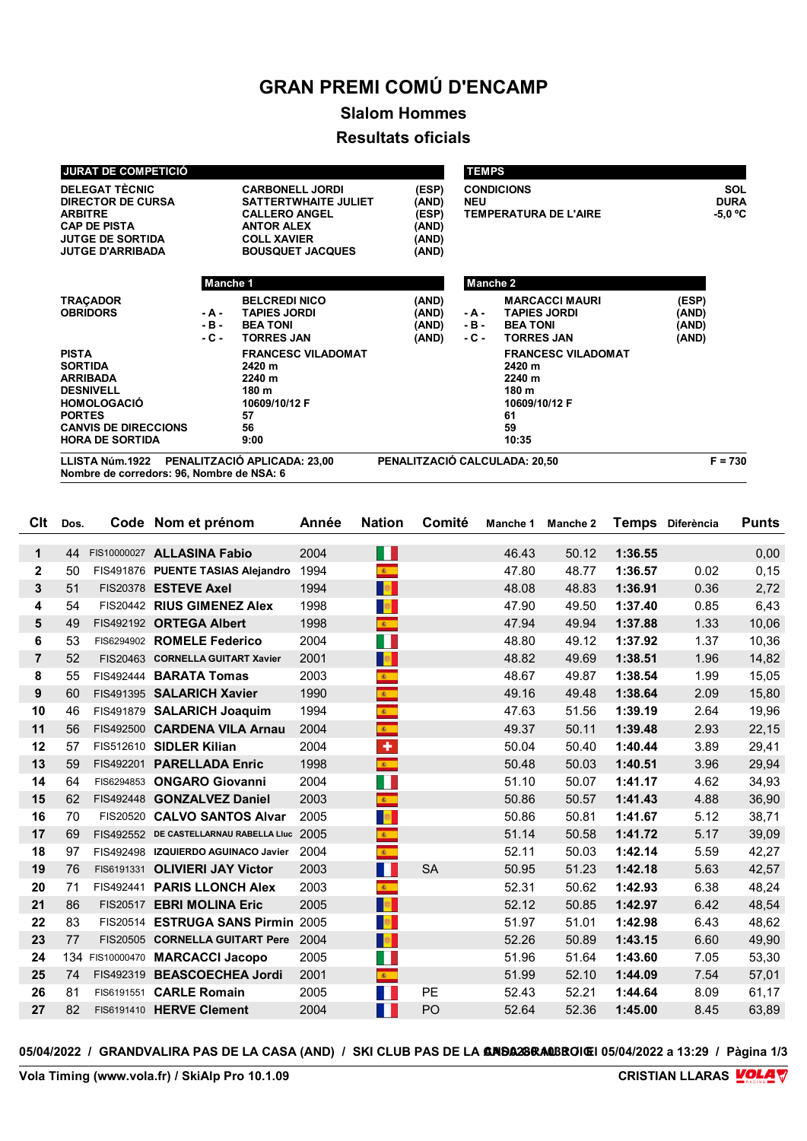## **GRAN PREMI COMÚ D'ENCAMP**

## **Slalom Hommes Resultats oficials**

| <b>JURAT DE COMPETICIÓ</b>                                                                                                                                            |                                                                                                                                                     |                                                                                             |                                                    | <b>TEMPS</b>             |                                                                                              |                                      |
|-----------------------------------------------------------------------------------------------------------------------------------------------------------------------|-----------------------------------------------------------------------------------------------------------------------------------------------------|---------------------------------------------------------------------------------------------|----------------------------------------------------|--------------------------|----------------------------------------------------------------------------------------------|--------------------------------------|
| <b>DELEGAT TÈCNIC</b><br><b>DIRECTOR DE CURSA</b><br><b>ARBITRE</b><br><b>CAP DE PISTA</b><br><b>JUTGE DE SORTIDA</b><br><b>JUTGE D'ARRIBADA</b>                      | <b>CARBONELL JORDI</b><br><b>SATTERTWHAITE JULIET</b><br><b>CALLERO ANGEL</b><br><b>ANTOR ALEX</b><br><b>COLL XAVIER</b><br><b>BOUSQUET JACQUES</b> |                                                                                             | (ESP)<br>(AND)<br>(ESP)<br>(AND)<br>(AND)<br>(AND) | <b>NEU</b>               | <b>CONDICIONS</b><br><b>TEMPERATURA DE L'AIRE</b>                                            | <b>SOL</b><br><b>DURA</b><br>-5,0 °C |
|                                                                                                                                                                       | Manche 1                                                                                                                                            |                                                                                             |                                                    | <b>Manche 2</b>          |                                                                                              |                                      |
| <b>TRACADOR</b><br><b>OBRIDORS</b>                                                                                                                                    | - A -<br>$-B -$<br>$-C -$                                                                                                                           | <b>BELCREDI NICO</b><br><b>TAPIES JORDI</b><br><b>BEA TONI</b><br><b>TORRES JAN</b>         | (AND)<br>(AND)<br>(AND)<br>(AND)                   | - A -<br>$-B -$<br>- C - | <b>MARCACCI MAURI</b><br><b>TAPIES JORDI</b><br><b>BEA TONI</b><br><b>TORRES JAN</b>         | (ESP)<br>(AND)<br>(AND)<br>(AND)     |
| <b>PISTA</b><br><b>SORTIDA</b><br><b>ARRIBADA</b><br><b>DESNIVELL</b><br><b>HOMOLOGACIÓ</b><br><b>PORTES</b><br><b>CANVIS DE DIRECCIONS</b><br><b>HORA DE SORTIDA</b> |                                                                                                                                                     | <b>FRANCESC VILADOMAT</b><br>2420 m<br>2240 m<br>180 m<br>10609/10/12 F<br>57<br>56<br>9:00 |                                                    |                          | <b>FRANCESC VILADOMAT</b><br>2420 m<br>2240 m<br>180 m<br>10609/10/12 F<br>61<br>59<br>10:35 |                                      |
| LLISTA Núm.1922                                                                                                                                                       | PENALITZACIÓ APLICADA: 23,00                                                                                                                        | PENALITZACIÓ CALCULADA: 20,50                                                               |                                                    |                          | $F = 730$                                                                                    |                                      |

**Nombre de corredors: 96, Nombre de NSA: 6**

| Clt            | Dos. |            | Code Nom et prénom                          | Année | <b>Nation</b>           | Comité    | Manche 1 | Manche 2 | Temps   | Diferència | <b>Punts</b> |
|----------------|------|------------|---------------------------------------------|-------|-------------------------|-----------|----------|----------|---------|------------|--------------|
|                |      |            |                                             |       |                         |           |          |          |         |            |              |
| 1              | 44   |            | FIS10000027 ALLASINA Fabio                  | 2004  | H                       |           | 46.43    | 50.12    | 1:36.55 |            | 0,00         |
| $\mathbf{2}$   | 50   |            | FIS491876 PUENTE TASIAS Alejandro           | 1994  | $\mathcal{R}^{\pm}$     |           | 47.80    | 48.77    | 1:36.57 | 0.02       | 0, 15        |
| 3              | 51   |            | FIS20378 ESTEVE Axel                        | 1994  | a <mark>s</mark> i      |           | 48.08    | 48.83    | 1:36.91 | 0.36       | 2,72         |
| 4              | 54   |            | FIS20442 RIUS GIMENEZ Alex                  | 1998  | <b>B</b>                |           | 47.90    | 49.50    | 1:37.40 | 0.85       | 6,43         |
| 5              | 49   |            | FIS492192 ORTEGA Albert                     | 1998  | $\frac{1}{\sqrt{3}}$    |           | 47.94    | 49.94    | 1:37.88 | 1.33       | 10,06        |
| 6              | 53   |            | FIS6294902 ROMELE Federico                  | 2004  | H                       |           | 48.80    | 49.12    | 1:37.92 | 1.37       | 10,36        |
| $\overline{7}$ | 52   |            | FIS20463 CORNELLA GUITART Xavier            | 2001  | <b>B</b>                |           | 48.82    | 49.69    | 1:38.51 | 1.96       | 14,82        |
| 8              | 55   |            | FIS492444 BARATA Tomas                      | 2003  | $\mathbf{g}_\perp$      |           | 48.67    | 49.87    | 1:38.54 | 1.99       | 15,05        |
| 9              | 60   |            | FIS491395 SALARICH Xavier                   | 1990  | $\mathbf{R}^{\top}$     |           | 49.16    | 49.48    | 1:38.64 | 2.09       | 15,80        |
| 10             | 46   |            | FIS491879 SALARICH Joaquim                  | 1994  | $\mathbf{R}^{\top}$     |           | 47.63    | 51.56    | 1:39.19 | 2.64       | 19,96        |
| 11             | 56   |            | FIS492500 CARDENA VILA Arnau                | 2004  | $\frac{1}{\frac{1}{2}}$ |           | 49.37    | 50.11    | 1:39.48 | 2.93       | 22,15        |
| 12             | 57   |            | FIS512610 SIDLER Kilian                     | 2004  | ٠                       |           | 50.04    | 50.40    | 1:40.44 | 3.89       | 29,41        |
| 13             | 59   |            | FIS492201 PARELLADA Enric                   | 1998  | $\mathbf{A}^{\prime}$   |           | 50.48    | 50.03    | 1:40.51 | 3.96       | 29,94        |
| 14             | 64   | FIS6294853 | <b>ONGARO Giovanni</b>                      | 2004  | H.                      |           | 51.10    | 50.07    | 1:41.17 | 4.62       | 34,93        |
| 15             | 62   | FIS492448  | <b>GONZALVEZ Daniel</b>                     | 2003  | $\mathcal{R}^{\pm}$     |           | 50.86    | 50.57    | 1:41.43 | 4.88       | 36,90        |
| 16             | 70   | FIS20520   | <b>CALVO SANTOS Alvar</b>                   | 2005  | <b>B</b>                |           | 50.86    | 50.81    | 1:41.67 | 5.12       | 38,71        |
| 17             | 69   |            | FIS492552 DE CASTELLARNAU RABELLA LIuc 2005 |       | $\mathbf{R}$ .          |           | 51.14    | 50.58    | 1:41.72 | 5.17       | 39,09        |
| 18             | 97   | FIS492498  | <b>IZQUIERDO AGUINACO Javier</b>            | 2004  | $\mathbf{A}$ .          |           | 52.11    | 50.03    | 1:42.14 | 5.59       | 42,27        |
| 19             | 76   |            | FIS6191331 OLIVIERI JAY Victor              | 2003  | H                       | <b>SA</b> | 50.95    | 51.23    | 1:42.18 | 5.63       | 42,57        |
| 20             | 71   |            | FIS492441 PARIS LLONCH Alex                 | 2003  | $\mathcal{R}^{\pm}$     |           | 52.31    | 50.62    | 1:42.93 | 6.38       | 48,24        |
| 21             | 86   | FIS20517   | <b>EBRI MOLINA Eric</b>                     | 2005  | <b>B</b>                |           | 52.12    | 50.85    | 1:42.97 | 6.42       | 48,54        |
| 22             | 83   | FIS20514   | <b>ESTRUGA SANS Pirmin 2005</b>             |       | <b>B</b>                |           | 51.97    | 51.01    | 1:42.98 | 6.43       | 48,62        |
| 23             | 77   |            | FIS20505 CORNELLA GUITART Pere              | 2004  | <b>B</b>                |           | 52.26    | 50.89    | 1:43.15 | 6.60       | 49,90        |
| 24             |      |            | 134 FIS10000470 MARCACCI Jacopo             | 2005  | F.                      |           | 51.96    | 51.64    | 1:43.60 | 7.05       | 53,30        |
| 25             | 74   |            | FIS492319 BEASCOECHEA Jordi                 | 2001  | $\mathcal{R}^{\pm}$     |           | 51.99    | 52.10    | 1:44.09 | 7.54       | 57,01        |
| 26             | 81   |            | FIS6191551 CARLE Romain                     | 2005  | H.                      | PE        | 52.43    | 52.21    | 1:44.64 | 8.09       | 61,17        |
| 27             | 82   |            | FIS6191410 HERVE Clement                    | 2004  | Ш                       | PO        | 52.64    | 52.36    | 1:45.00 | 8.45       | 63,89        |
|                |      |            |                                             |       |                         |           |          |          |         |            |              |

05/04/2022 / GRANDVALIRA PAS DE LA CASA (AND) / SKI CLUB PAS DE LA **GRISA28RAOBROIGI** 05/04/2022 a 13:29 / Pàgina 1/3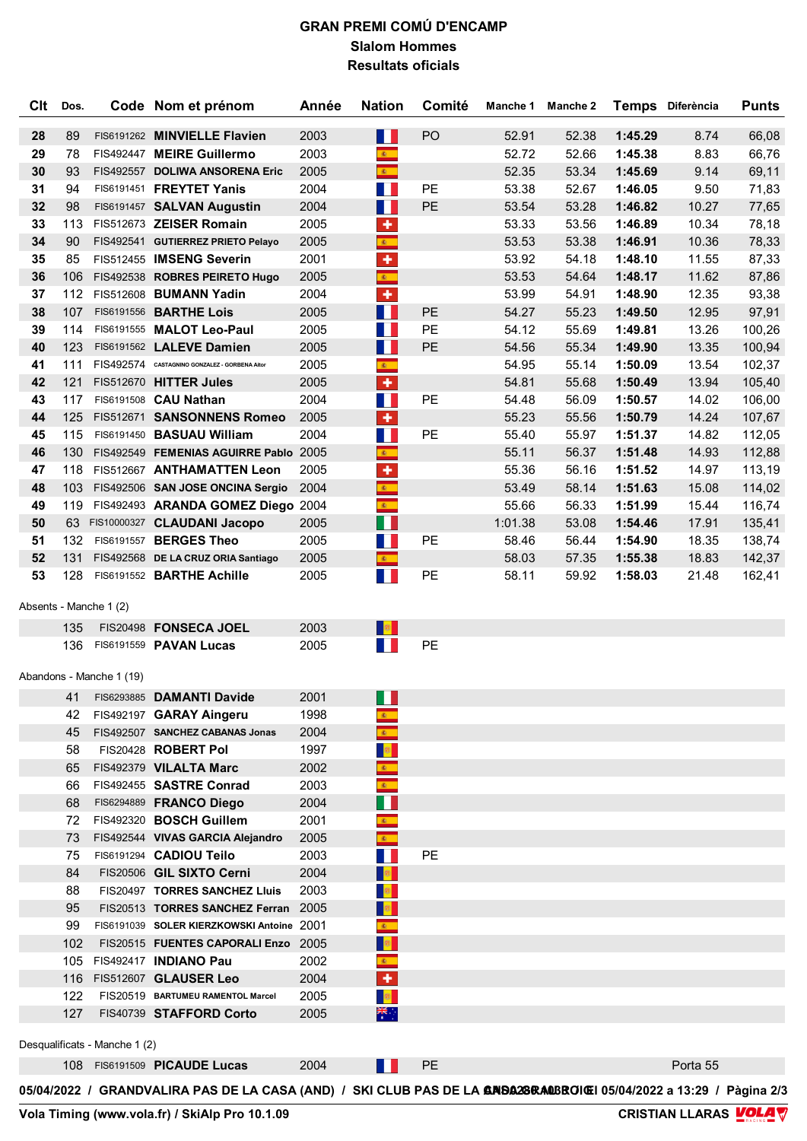## **GRAN PREMI COMÚ D'ENCAMP Slalom Hommes Resultats oficials**

| Clt | Dos. |                               | Code Nom et prénom                                                                                                         | Année        | <b>Nation</b>                      | Comité | Manche 1 | Manche 2 |         | Temps Diferència | <b>Punts</b> |
|-----|------|-------------------------------|----------------------------------------------------------------------------------------------------------------------------|--------------|------------------------------------|--------|----------|----------|---------|------------------|--------------|
| 28  | 89   |                               | FIS6191262 MINVIELLE Flavien                                                                                               | 2003         | H                                  | PO     | 52.91    | 52.38    | 1:45.29 | 8.74             | 66,08        |
| 29  | 78   |                               | FIS492447 MEIRE Guillermo                                                                                                  | 2003         | $\mathbf{R}$ .                     |        | 52.72    | 52.66    | 1:45.38 | 8.83             | 66,76        |
| 30  | 93   |                               | FIS492557 DOLIWA ANSORENA Eric                                                                                             | 2005         | $\mathcal{R}^{\pm}$                |        | 52.35    | 53.34    | 1:45.69 | 9.14             | 69,11        |
| 31  | 94   |                               | FIS6191451 FREYTET Yanis                                                                                                   | 2004         | M.                                 | PE     | 53.38    | 52.67    | 1:46.05 | 9.50             | 71,83        |
| 32  | 98   |                               | FIS6191457 SALVAN Augustin                                                                                                 | 2004         | W                                  | PE     | 53.54    | 53.28    | 1:46.82 | 10.27            | 77,65        |
| 33  | 113  |                               | FIS512673 ZEISER Romain                                                                                                    | 2005         | ٠                                  |        | 53.33    | 53.56    | 1:46.89 | 10.34            | 78,18        |
| 34  | 90   |                               | FIS492541 GUTIERREZ PRIETO Pelayo                                                                                          | 2005         | $\mathcal{R}^{\pm}$                |        | 53.53    | 53.38    | 1:46.91 | 10.36            | 78,33        |
| 35  | 85   |                               | FIS512455 IMSENG Severin                                                                                                   | 2001         | $\ddot{\textbf{r}}$                |        | 53.92    | 54.18    | 1:48.10 | 11.55            | 87,33        |
| 36  | 106  |                               | FIS492538 ROBRES PEIRETO Hugo                                                                                              | 2005         | $\mathbf{R}_{\perp}$               |        | 53.53    | 54.64    | 1:48.17 | 11.62            | 87,86        |
| 37  | 112  |                               | FIS512608 BUMANN Yadin                                                                                                     | 2004         | ÷                                  |        | 53.99    | 54.91    | 1:48.90 | 12.35            | 93,38        |
| 38  | 107  |                               | FIS6191556 <b>BARTHE Lois</b>                                                                                              | 2005         | T.                                 | PE     | 54.27    | 55.23    | 1:49.50 | 12.95            | 97,91        |
| 39  | 114  |                               | FIS6191555 MALOT Leo-Paul                                                                                                  | 2005         | T.                                 | PE     | 54.12    | 55.69    | 1:49.81 | 13.26            | 100,26       |
| 40  | 123  |                               | FIS6191562 LALEVE Damien                                                                                                   | 2005         | W                                  | PE     | 54.56    | 55.34    | 1:49.90 | 13.35            | 100,94       |
| 41  | 111  |                               | FIS492574 CASTAGNINO GONZALEZ - GORBENA Altor                                                                              | 2005         | $\mathbf{R}$ .                     |        | 54.95    | 55.14    | 1:50.09 | 13.54            | 102,37       |
| 42  | 121  |                               | FIS512670 HITTER Jules                                                                                                     | 2005         | ÷                                  |        | 54.81    | 55.68    | 1:50.49 | 13.94            | 105,40       |
| 43  | 117  |                               | FIS6191508 CAU Nathan                                                                                                      | 2004         | $\sim 10$                          | PE     | 54.48    | 56.09    | 1:50.57 | 14.02            | 106,00       |
| 44  | 125  |                               | FIS512671 SANSONNENS Romeo                                                                                                 | 2005         | $\ddot{\phantom{1}}$               |        | 55.23    | 55.56    | 1:50.79 | 14.24            | 107,67       |
| 45  | 115  |                               | FIS6191450 BASUAU William                                                                                                  | 2004         | H.                                 | PE     | 55.40    | 55.97    | 1:51.37 | 14.82            | 112,05       |
| 46  | 130  |                               | FIS492549 FEMENIAS AGUIRRE Pablo 2005                                                                                      |              | $\mathbf{g}_{\mathrm{in}}$         |        | 55.11    | 56.37    | 1:51.48 | 14.93            | 112,88       |
| 47  | 118  |                               | FIS512667 ANTHAMATTEN Leon                                                                                                 | 2005         | $\ddot{\textbf{r}}$                |        | 55.36    | 56.16    | 1:51.52 | 14.97            | 113,19       |
| 48  | 103  |                               | FIS492506 SAN JOSE ONCINA Sergio                                                                                           | 2004         | $\frac{1}{\mathcal{R}_\text{max}}$ |        | 53.49    | 58.14    | 1:51.63 | 15.08            | 114,02       |
| 49  | 119  |                               | FIS492493 ARANDA GOMEZ Diego 2004                                                                                          |              | $\mathcal{R}^{\pm}$                |        | 55.66    | 56.33    | 1:51.99 | 15.44            | 116,74       |
| 50  |      |                               | 63 FIS10000327 CLAUDANI Jacopo                                                                                             | 2005         | П                                  |        | 1:01.38  | 53.08    | 1:54.46 | 17.91            | 135,41       |
| 51  | 132  |                               | FIS6191557 BERGES Theo                                                                                                     | 2005         | ТI.                                | PE     | 58.46    | 56.44    | 1:54.90 | 18.35            | 138,74       |
| 52  | 131  |                               | FIS492568 DE LA CRUZ ORIA Santiago                                                                                         | 2005         | $\mathcal{R}^{\pm}$                |        | 58.03    | 57.35    | 1:55.38 | 18.83            | 142,37       |
| 53  | 128  |                               | FIS6191552 BARTHE Achille                                                                                                  | 2005         | M.                                 | PE     | 58.11    | 59.92    | 1:58.03 | 21.48            | 162,41       |
|     |      | Absents - Manche 1 (2)        |                                                                                                                            |              |                                    |        |          |          |         |                  |              |
|     | 135  |                               | FIS20498 FONSECA JOEL                                                                                                      | 2003         | 题                                  |        |          |          |         |                  |              |
|     | 136  |                               | FIS6191559 PAVAN Lucas                                                                                                     | 2005         | M.                                 | PE     |          |          |         |                  |              |
|     |      |                               |                                                                                                                            |              |                                    |        |          |          |         |                  |              |
|     |      | Abandons - Manche 1 (19)      |                                                                                                                            |              |                                    |        |          |          |         |                  |              |
|     | 41   |                               | FIS6293885 DAMANTI Davide                                                                                                  | 2001         |                                    |        |          |          |         |                  |              |
|     | 42   |                               | FIS492197 GARAY Aingeru                                                                                                    | 1998         | 60                                 |        |          |          |         |                  |              |
|     | 45   |                               | FIS492507 SANCHEZ CABANAS Jonas                                                                                            | 2004         |                                    |        |          |          |         |                  |              |
|     | 58   |                               | FIS20428 ROBERT Pol                                                                                                        | 1997         |                                    |        |          |          |         |                  |              |
|     |      |                               | 65 FIS492379 VILALTA Marc                                                                                                  | 2002         |                                    |        |          |          |         |                  |              |
|     | 66   |                               | FIS492455 SASTRE Conrad                                                                                                    | 2003         |                                    |        |          |          |         |                  |              |
|     | 68   |                               | FIS6294889 FRANCO Diego                                                                                                    | 2004         |                                    |        |          |          |         |                  |              |
|     | 72   |                               | FIS492320 BOSCH Guillem                                                                                                    | 2001         | <b>图</b>                           |        |          |          |         |                  |              |
|     | 73   |                               | FIS492544 VIVAS GARCIA Alejandro                                                                                           | 2005         |                                    |        |          |          |         |                  |              |
|     | 75   |                               | FIS6191294 CADIOU Teilo                                                                                                    | 2003         |                                    | PE     |          |          |         |                  |              |
|     | 84   |                               | FIS20506 GIL SIXTO Cerni                                                                                                   | 2004         |                                    |        |          |          |         |                  |              |
|     | 88   |                               | FIS20497 TORRES SANCHEZ Lluis                                                                                              | 2003         | 靈                                  |        |          |          |         |                  |              |
|     | 95   |                               | FIS20513 TORRES SANCHEZ Ferran 2005                                                                                        |              |                                    |        |          |          |         |                  |              |
|     | 99   |                               | FIS6191039 SOLER KIERZKOWSKI Antoine 2001                                                                                  |              | 激。                                 |        |          |          |         |                  |              |
|     | 102  |                               | FIS20515 FUENTES CAPORALI Enzo 2005                                                                                        |              | <b>RE</b>                          |        |          |          |         |                  |              |
|     |      |                               | 105 FIS492417 <b>INDIANO Pau</b><br>116 FIS512607 GLAUSER Leo                                                              | 2002<br>2004 | 图:<br>٠                            |        |          |          |         |                  |              |
|     | 122  |                               | FIS20519 BARTUMEU RAMENTOL Marcel                                                                                          | 2005         |                                    |        |          |          |         |                  |              |
|     | 127  |                               | FIS40739 STAFFORD Corto                                                                                                    | 2005         | ँँ                                 |        |          |          |         |                  |              |
|     |      |                               |                                                                                                                            |              |                                    |        |          |          |         |                  |              |
|     |      | Desqualificats - Manche 1 (2) |                                                                                                                            |              |                                    |        |          |          |         |                  |              |
|     |      |                               | 108 FIS6191509 PICAUDE Lucas                                                                                               | 2004         |                                    | PE     |          |          |         | Porta 55         |              |
|     |      |                               | 05/04/2022 / GRANDVALIRA PAS DE LA CASA (AND) / SKI CLUB PAS DE LA <b>ANDA28ƘA0</b> BROIŒI 05/04/2022 a 13:29 / Pàgina 2/3 |              |                                    |        |          |          |         |                  |              |
|     |      |                               |                                                                                                                            |              |                                    |        |          |          |         |                  |              |